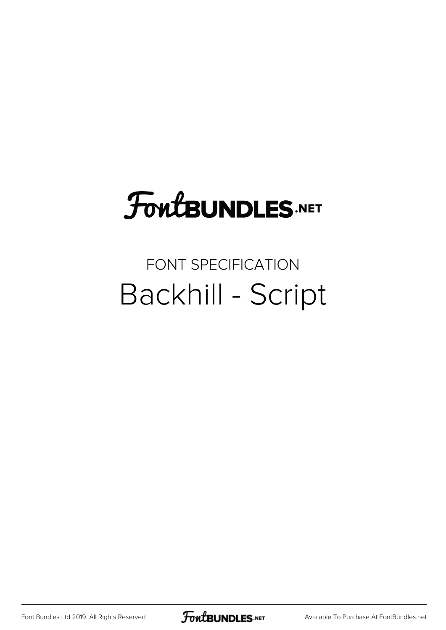## **FoutBUNDLES.NET**

## FONT SPECIFICATION Backhill - Script

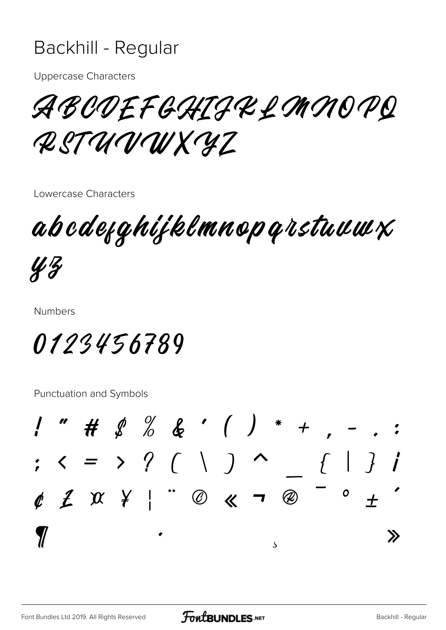## Backhill - Regular

**Uppercase Characters** 

ABODEFGHIJKLMMOPQ RSTUVWXYZ

Lowercase Characters

abcdefghijklmnopqrstuuwx

 $43$ 

**Numbers** 

0123456789

Punctuation and Symbols

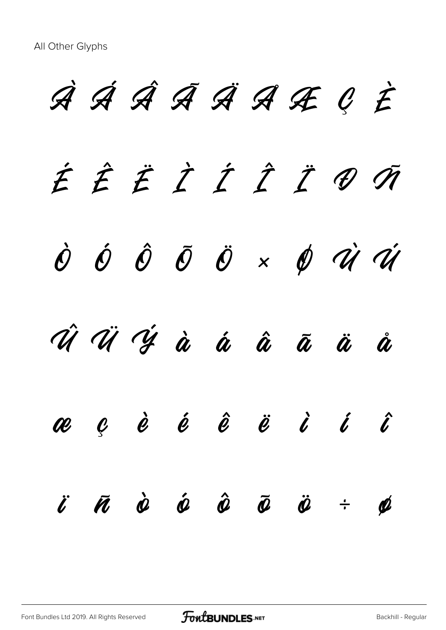À Á Â Ã Ä Å Æ Ç È É Ê Ë Ì Í Î Ï Ð Ñ  $\dot{\mathcal{O}}$   $\dot{\mathcal{O}}$   $\ddot{\mathcal{O}}$   $\ddot{\mathcal{O}}$   $\ddot{\mathcal{O}}$   $\times$   $\dot{\mathcal{O}}$   $\dot{\mathcal{U}}$   $\dot{\mathcal{U}}$ Û Ü Ý à á â ã ä å æ ç è é ê ë ì í î  $\ddot{\mathbf{c}}$   $\ddot{\mathbf{a}}$   $\dot{\mathbf{c}}$   $\ddot{\mathbf{c}}$   $\ddot{\mathbf{c}}$   $\ddot{\mathbf{c}}$   $\ddot{\mathbf{c}}$   $\ddot{\mathbf{c}}$   $\ddot{\mathbf{c}}$   $\ddot{\mathbf{c}}$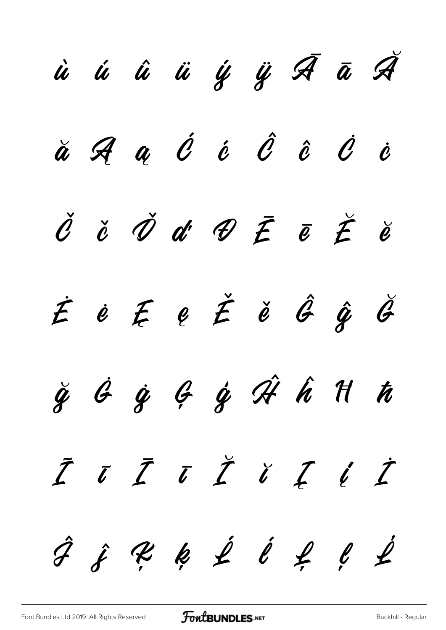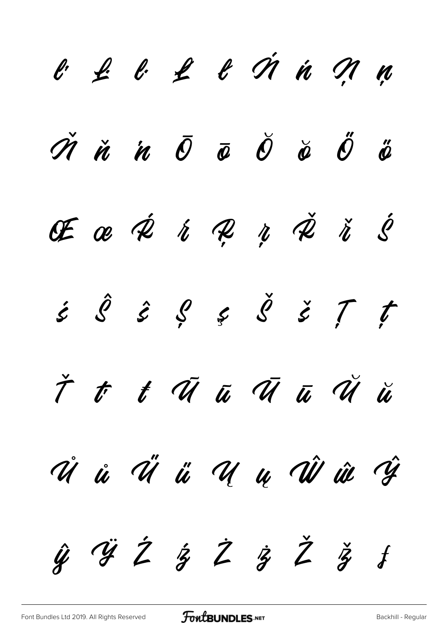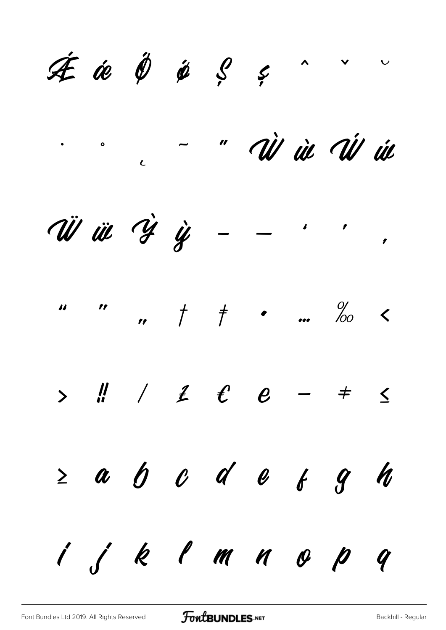$A$   $\neq$   $B$   $\neq$   $C$   $\neq$  $\overline{\phantom{a}}$  $\overline{\mathbf{v}}$ " AÌ ùc Ái úc  $\bullet$  0  $\overline{c}$ W iii Y y  $\overline{\phantom{a}}$   $\overline{\phantom{a}}$  $\overline{ }$  $\%$  $\qquad \qquad r \qquad \uparrow \qquad \qquad \bullet \qquad \ldots$  $\boldsymbol{\mu}$  $\frac{1}{2}$  $12$  $\sum$  $\leq$  $\neq$  $\qquad \qquad$  $\geq a$  b c d e f h  $\boldsymbol{q}$  $i$  j k l m n o p  $\boldsymbol{q}$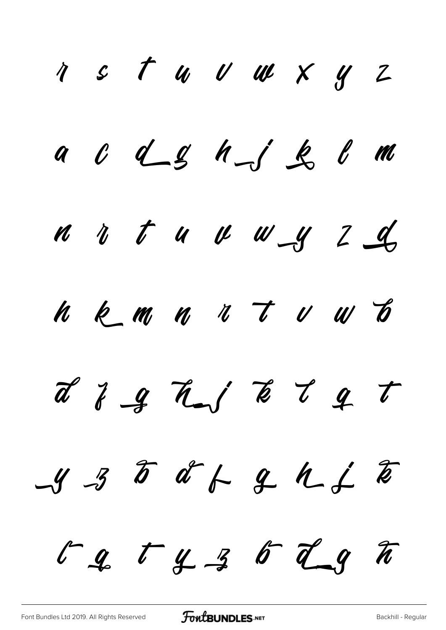1 s t u v w x y z a c d g h j g l m n v t u v w y z d h k m n n t v w b d J g h j k l g t  $-435$  df  $-444$  $r_g$   $r_g$   $g$   $r_g$   $r_g$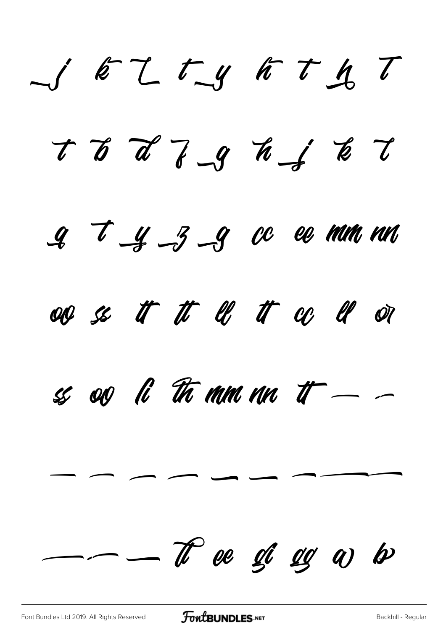